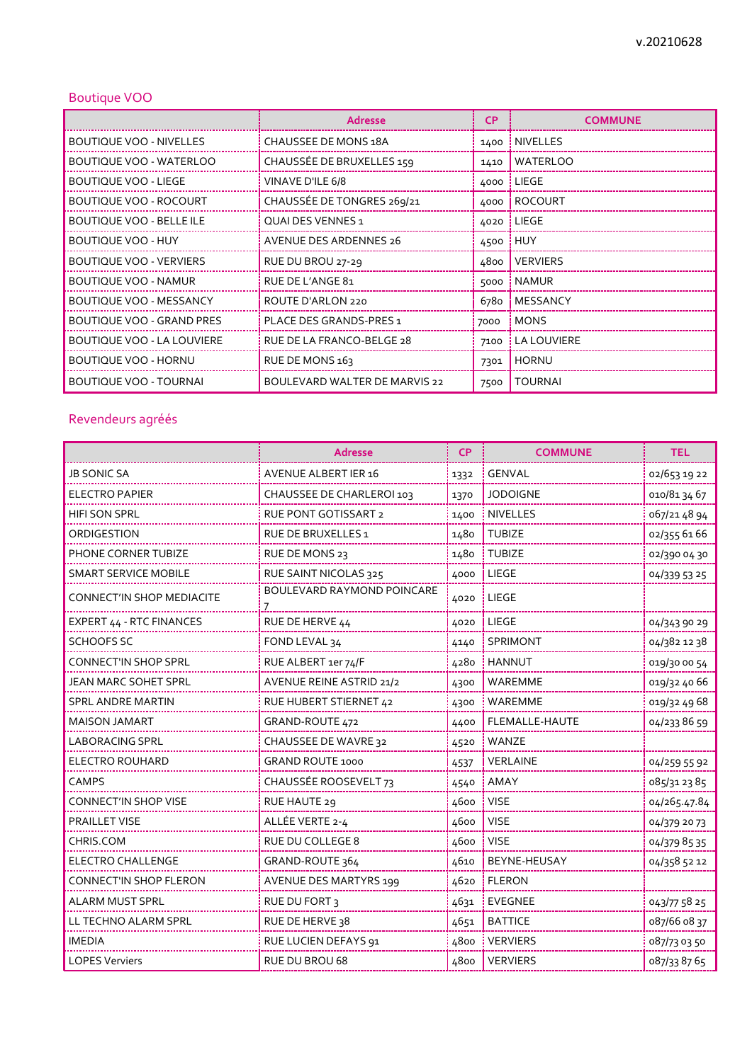## Boutique VOO

|                                   | Adresse                              | <b>CP</b> | <b>COMMUNE</b>    |
|-----------------------------------|--------------------------------------|-----------|-------------------|
| <b>BOUTIQUE VOO - NIVELLES</b>    | <b>CHAUSSEE DE MONS 18A</b>          |           | 1400   NIVELLES   |
| <b>BOUTIQUE VOO - WATERLOO</b>    | CHAUSSÉE DE BRUXELLES 159            | 1410      | <b>WATERLOO</b>   |
| BOUTIQUE VOO - LIEGE              | VINAVE D'ILE 6/8                     |           | 4000   LIEGE      |
| BOUTIQUE VOO - ROCOURT            | CHAUSSÉE DE TONGRES 269/21           |           | 4000   ROCOURT    |
| <b>BOUTIQUE VOO - BELLE ILE</b>   | <b>QUAI DES VENNES 1</b>             |           | 4020   LIEGE      |
| BOUTIQUE VOO - HUY                | <b>AVENUE DES ARDENNES 26</b>        | 4500 i    | <b>HUY</b>        |
| <b>BOUTIQUE VOO - VERVIERS</b>    | RUE DU BROU 27-29                    | 4800      | <b>VERVIERS</b>   |
| BOUTIQUE VOO - NAMUR              | RUE DE L'ANGE 81                     | 5000      | <b>NAMUR</b>      |
| <b>BOUTIQUE VOO - MESSANCY</b>    | ROUTE D'ARLON 220                    | 6780      | MESSANCY          |
| BOUTIQUE VOO - GRAND PRES         | PLACE DES GRANDS-PRES 1              | 7000      | <b>MONS</b>       |
| <b>BOUTIQUE VOO - LA LOUVIERE</b> | RUE DE LA FRANCO-BELGE 28            | 7100      | <b>LALOUVIERE</b> |
| BOUTIQUE VOO - HORNU              | RUE DE MONS 163                      | 7301      | <b>HORNU</b>      |
| BOUTIQUE VOO - TOURNAI            | <b>BOULEVARD WALTER DE MARVIS 22</b> | 7500      | <b>TOURNAI</b>    |

## Revendeurs agréés

|                                  | <b>Adresse</b>              | <b>CP</b> | <b>COMMUNE</b>  | <b>TEL</b>   |
|----------------------------------|-----------------------------|-----------|-----------------|--------------|
| <b>JB SONIC SA</b>               | AVENUE ALBERT IER 16        | 1332      | <b>GENVAL</b>   | 02/653 19 22 |
| <b>ELECTRO PAPIER</b>            | CHAUSSEE DE CHARLEROI 103   | 1370      | <b>JODOIGNE</b> | 010/81 34 67 |
| <b>HIFI SON SPRL</b>             | <b>RUE PONT GOTISSART 2</b> | 1400      | <b>NIVELLES</b> | 067/21 48 94 |
| ORDIGESTION                      | RUE DE BRUXELLES 1          | 1480      | <b>TUBIZE</b>   | 02/355 61 66 |
| PHONE CORNER TUBIZE              | RUE DE MONS 23              | 1480      | <b>TUBIZE</b>   | 02/390 04 30 |
| <b>SMART SERVICE MOBILE</b>      | RUE SAINT NICOLAS 325       | 4000      | LIEGE           | 04/339 53 25 |
| <b>CONNECT'IN SHOP MEDIACITE</b> | BOULEVARD RAYMOND POINCARE  | 4020      | LIEGE           |              |
| EXPERT 44 - RTC FINANCES         | RUE DE HERVE 44             | 4020      | LIEGE           | 04/343 90 29 |
| <b>SCHOOFS SC</b>                | FOND LEVAL 34               | 4140      | SPRIMONT        | 04/382 12 38 |
| <b>CONNECT'IN SHOP SPRL</b>      | RUE ALBERT 1er 74/F         | 4280      | <b>HANNUT</b>   | 019/30 00 54 |
| JEAN MARC SOHET SPRL             | AVENUE REINE ASTRID 21/2    | 4300      | WAREMME         | 019/32 40 66 |
| <b>SPRL ANDRE MARTIN</b>         | RUE HUBERT STIERNET 42      | 4300      | WAREMME         | 019/32 49 68 |
| <b>MAISON JAMART</b>             | GRAND-ROUTE 472             | 4400      | FLEMALLE-HAUTE  | 04/233 86 59 |
| <b>LABORACING SPRL</b>           | CHAUSSEE DE WAVRE 32        | 4520      | WANZE           |              |
| <b>ELECTRO ROUHARD</b>           | <b>GRAND ROUTE 1000</b>     | 4537      | <b>VERLAINE</b> | 04/259 55 92 |
| <b>CAMPS</b>                     | CHAUSSÉE ROOSEVELT 73       | 4540      | AMAY            | 085/31 23 85 |
| CONNECT'IN SHOP VISE             | RUE HAUTE 29                | 4600      | <b>VISE</b>     | 04/265.47.84 |
| PRAILLET VISE                    | ALLÉE VERTE 2-4             | 4600      | <b>VISE</b>     | 04/379 20 73 |
| CHRIS.COM                        | RUE DU COLLEGE 8            | 4600      | <b>VISE</b>     | 04/379 85 35 |
| ELECTRO CHALLENGE                | GRAND-ROUTE 364             | 4610      | BEYNE-HEUSAY    | 04/358 52 12 |
| CONNECT'IN SHOP FLERON           | AVENUE DES MARTYRS 199      | 4620      | <b>FLERON</b>   |              |
| <b>ALARM MUST SPRL</b>           | <b>RUE DU FORT 3</b>        | 4631      | <b>EVEGNEE</b>  | 043/77 58 25 |
| LL TECHNO ALARM SPRL             | RUE DE HERVE 38             | 4651      | <b>BATTICE</b>  | 087/66 08 37 |
| <b>IMEDIA</b>                    | RUE LUCIEN DEFAYS 91        | 4800      | <b>VERVIERS</b> | 087/730350   |
| <b>LOPES Verviers</b>            | RUE DU BROU 68              | 4800      | <b>VERVIERS</b> | 087/33 87 65 |